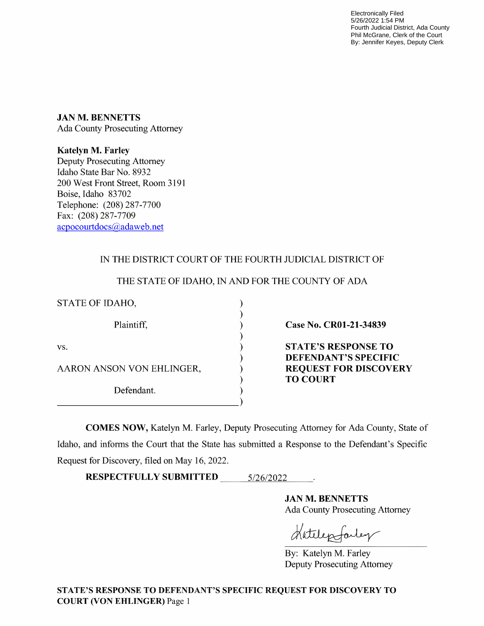Electronically Filed 5/26/2022 1:54 PM Fourth Judicial District, Ada County Phil McGrane, Clerk of the Court By: Jennifer Keyes, Deputy Clerk

JAN M. BENNETTS Ada County Prosecuting Attorney

Katelyn M. Farley Deputy Prosecuting Attorney Idaho State Bar No. 8932 200 West Front Street, Room 3191 Boise, Idaho 83702 Telephone: (208) 287-7700 Fax: (208) 287-7709 acpocourtdocs@adaweb.net

## IN THE DISTRICT COURT OF THE FOURTH JUDICIAL DISTRICT OF

| STATE OF IDAHO,           |                                                                                |
|---------------------------|--------------------------------------------------------------------------------|
| Plaintiff,                | Case No. CR01-21-34839                                                         |
| VS.                       | <b>STATE'S RESPONSE TO</b>                                                     |
| AARON ANSON VON EHLINGER, | <b>DEFENDANT'S SPECIFIC</b><br><b>REQUEST FOR DISCOVERY</b><br><b>TO COURT</b> |
| Defendant.                |                                                                                |

THE STATE OF IDAHO, IN AND FOR THE COUNTY OF ADA

COMES NOW, Katelyn M. Farley, Deputy Prosecuting Attorney for Ada County, State of Idaho, and informs the Court that the State has submitted a Response to the Defendant's Specific Request for Discovery, filed on May 16, 2022.

RESPECTFULLY SUBMITTED 5/26/2022

JAN M. BENNETTS Ada County Prosecuting Attorney

Hatelepfarley

By: Katelyn M. Farley Deputy Prosecuting Attorney